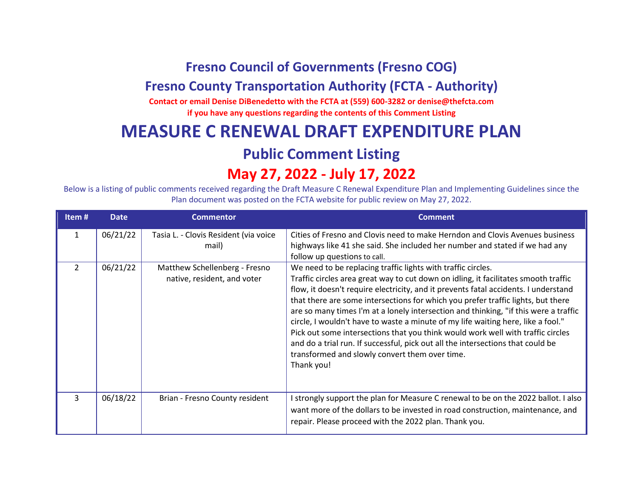## **Fresno Council of Governments (Fresno COG)**

#### **Fresno County Transportation Authority (FCTA - Authority)**

**Contact or email Denise DiBenedetto with the FCTA at (559) 600-3282 or denise@thefcta.com if you have any questions regarding the contents of this Comment Listing**

## **MEASURE C RENEWAL DRAFT EXPENDITURE PLAN**

#### **Public Comment Listing**

# **May 27, 2022 - July 17, 2022**

Below is a listing of public comments received regarding the Draft Measure C Renewal Expenditure Plan and Implementing Guidelines since the Plan document was posted on the FCTA website for public review on May 27, 2022.

| Item $#$       | <b>Date</b> | <b>Commentor</b>                                             | <b>Comment</b>                                                                                                                                                                                                                                                                                                                                                                                                                                                                                                                                                                                                                                                                                                                                   |
|----------------|-------------|--------------------------------------------------------------|--------------------------------------------------------------------------------------------------------------------------------------------------------------------------------------------------------------------------------------------------------------------------------------------------------------------------------------------------------------------------------------------------------------------------------------------------------------------------------------------------------------------------------------------------------------------------------------------------------------------------------------------------------------------------------------------------------------------------------------------------|
| 1              | 06/21/22    | Tasia L. - Clovis Resident (via voice<br>mail)               | Cities of Fresno and Clovis need to make Herndon and Clovis Avenues business<br>highways like 41 she said. She included her number and stated if we had any<br>follow up questions to call.                                                                                                                                                                                                                                                                                                                                                                                                                                                                                                                                                      |
| $\mathfrak{D}$ | 06/21/22    | Matthew Schellenberg - Fresno<br>native, resident, and voter | We need to be replacing traffic lights with traffic circles.<br>Traffic circles area great way to cut down on idling, it facilitates smooth traffic<br>flow, it doesn't require electricity, and it prevents fatal accidents. I understand<br>that there are some intersections for which you prefer traffic lights, but there<br>are so many times I'm at a lonely intersection and thinking, "if this were a traffic<br>circle, I wouldn't have to waste a minute of my life waiting here, like a fool."<br>Pick out some intersections that you think would work well with traffic circles<br>and do a trial run. If successful, pick out all the intersections that could be<br>transformed and slowly convert them over time.<br>Thank you! |
| 3              | 06/18/22    | Brian - Fresno County resident                               | I strongly support the plan for Measure C renewal to be on the 2022 ballot. I also<br>want more of the dollars to be invested in road construction, maintenance, and<br>repair. Please proceed with the 2022 plan. Thank you.                                                                                                                                                                                                                                                                                                                                                                                                                                                                                                                    |